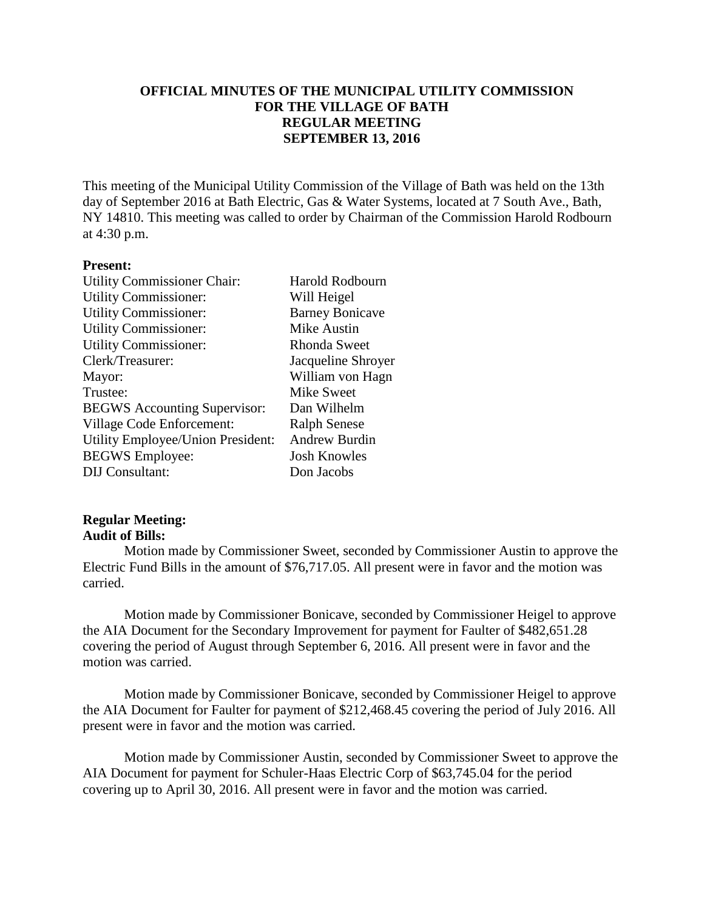## **OFFICIAL MINUTES OF THE MUNICIPAL UTILITY COMMISSION FOR THE VILLAGE OF BATH REGULAR MEETING SEPTEMBER 13, 2016**

This meeting of the Municipal Utility Commission of the Village of Bath was held on the 13th day of September 2016 at Bath Electric, Gas & Water Systems, located at 7 South Ave., Bath, NY 14810. This meeting was called to order by Chairman of the Commission Harold Rodbourn at 4:30 p.m.

#### **Present:**

| <b>Utility Commissioner Chair:</b>  | <b>Harold Rodbourn</b> |
|-------------------------------------|------------------------|
| <b>Utility Commissioner:</b>        | Will Heigel            |
| <b>Utility Commissioner:</b>        | <b>Barney Bonicave</b> |
| <b>Utility Commissioner:</b>        | Mike Austin            |
| <b>Utility Commissioner:</b>        | <b>Rhonda Sweet</b>    |
| Clerk/Treasurer:                    | Jacqueline Shroyer     |
| Mayor:                              | William von Hagn       |
| Trustee:                            | <b>Mike Sweet</b>      |
| <b>BEGWS</b> Accounting Supervisor: | Dan Wilhelm            |
| Village Code Enforcement:           | <b>Ralph Senese</b>    |
| Utility Employee/Union President:   | <b>Andrew Burdin</b>   |
| <b>BEGWS</b> Employee:              | <b>Josh Knowles</b>    |
| <b>DIJ</b> Consultant:              | Don Jacobs             |
|                                     |                        |

#### **Regular Meeting: Audit of Bills:**

Motion made by Commissioner Sweet, seconded by Commissioner Austin to approve the Electric Fund Bills in the amount of \$76,717.05. All present were in favor and the motion was carried.

Motion made by Commissioner Bonicave, seconded by Commissioner Heigel to approve the AIA Document for the Secondary Improvement for payment for Faulter of \$482,651.28 covering the period of August through September 6, 2016. All present were in favor and the motion was carried.

Motion made by Commissioner Bonicave, seconded by Commissioner Heigel to approve the AIA Document for Faulter for payment of \$212,468.45 covering the period of July 2016. All present were in favor and the motion was carried.

Motion made by Commissioner Austin, seconded by Commissioner Sweet to approve the AIA Document for payment for Schuler-Haas Electric Corp of \$63,745.04 for the period covering up to April 30, 2016. All present were in favor and the motion was carried.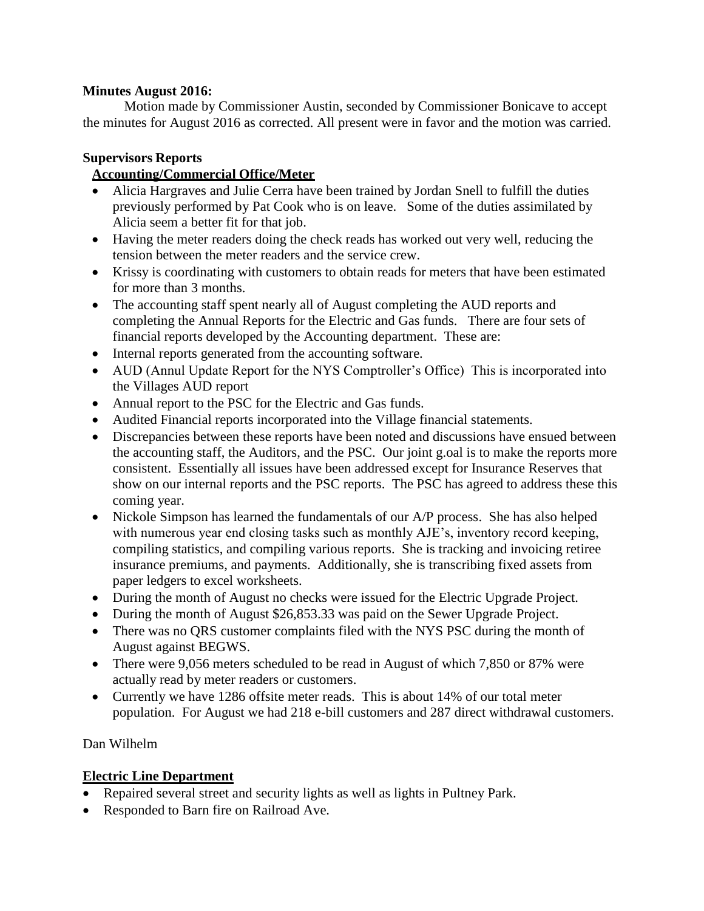## **Minutes August 2016:**

Motion made by Commissioner Austin, seconded by Commissioner Bonicave to accept the minutes for August 2016 as corrected. All present were in favor and the motion was carried.

### **Supervisors Reports**

# **Accounting/Commercial Office/Meter**

- Alicia Hargraves and Julie Cerra have been trained by Jordan Snell to fulfill the duties previously performed by Pat Cook who is on leave. Some of the duties assimilated by Alicia seem a better fit for that job.
- Having the meter readers doing the check reads has worked out very well, reducing the tension between the meter readers and the service crew.
- Krissy is coordinating with customers to obtain reads for meters that have been estimated for more than 3 months.
- The accounting staff spent nearly all of August completing the AUD reports and completing the Annual Reports for the Electric and Gas funds. There are four sets of financial reports developed by the Accounting department. These are:
- Internal reports generated from the accounting software.
- AUD (Annul Update Report for the NYS Comptroller's Office) This is incorporated into the Villages AUD report
- Annual report to the PSC for the Electric and Gas funds.
- Audited Financial reports incorporated into the Village financial statements.
- Discrepancies between these reports have been noted and discussions have ensued between the accounting staff, the Auditors, and the PSC. Our joint g.oal is to make the reports more consistent. Essentially all issues have been addressed except for Insurance Reserves that show on our internal reports and the PSC reports. The PSC has agreed to address these this coming year.
- Nickole Simpson has learned the fundamentals of our A/P process. She has also helped with numerous year end closing tasks such as monthly AJE's, inventory record keeping, compiling statistics, and compiling various reports. She is tracking and invoicing retiree insurance premiums, and payments. Additionally, she is transcribing fixed assets from paper ledgers to excel worksheets.
- During the month of August no checks were issued for the Electric Upgrade Project.
- During the month of August \$26,853.33 was paid on the Sewer Upgrade Project.
- There was no QRS customer complaints filed with the NYS PSC during the month of August against BEGWS.
- There were 9,056 meters scheduled to be read in August of which 7,850 or 87% were actually read by meter readers or customers.
- Currently we have 1286 offsite meter reads. This is about 14% of our total meter population. For August we had 218 e-bill customers and 287 direct withdrawal customers.

## Dan Wilhelm

## **Electric Line Department**

- Repaired several street and security lights as well as lights in Pultney Park.
- Responded to Barn fire on Railroad Ave.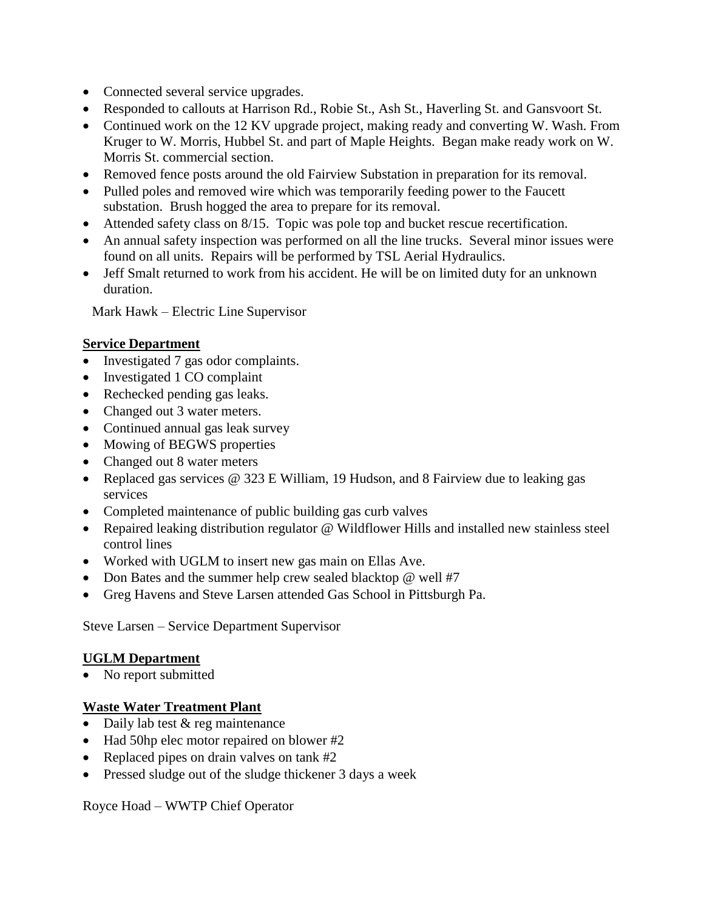- Connected several service upgrades.
- Responded to callouts at Harrison Rd., Robie St., Ash St., Haverling St. and Gansvoort St.
- Continued work on the 12 KV upgrade project, making ready and converting W. Wash. From Kruger to W. Morris, Hubbel St. and part of Maple Heights. Began make ready work on W. Morris St. commercial section.
- Removed fence posts around the old Fairview Substation in preparation for its removal.
- Pulled poles and removed wire which was temporarily feeding power to the Faucett substation. Brush hogged the area to prepare for its removal.
- Attended safety class on 8/15. Topic was pole top and bucket rescue recertification.
- An annual safety inspection was performed on all the line trucks. Several minor issues were found on all units. Repairs will be performed by TSL Aerial Hydraulics.
- Jeff Smalt returned to work from his accident. He will be on limited duty for an unknown duration.

Mark Hawk – Electric Line Supervisor

# **Service Department**

- Investigated 7 gas odor complaints.
- Investigated 1 CO complaint
- Rechecked pending gas leaks.
- Changed out 3 water meters.
- Continued annual gas leak survey
- Mowing of BEGWS properties
- Changed out 8 water meters
- Replaced gas services @ 323 E William, 19 Hudson, and 8 Fairview due to leaking gas services
- Completed maintenance of public building gas curb valves
- Repaired leaking distribution regulator @ Wildflower Hills and installed new stainless steel control lines
- Worked with UGLM to insert new gas main on Ellas Ave.
- Don Bates and the summer help crew sealed blacktop @ well #7
- Greg Havens and Steve Larsen attended Gas School in Pittsburgh Pa.

Steve Larsen – Service Department Supervisor

## **UGLM Department**

• No report submitted

# **Waste Water Treatment Plant**

- Daily lab test & reg maintenance
- Had 50hp elec motor repaired on blower #2
- Replaced pipes on drain valves on tank #2
- Pressed sludge out of the sludge thickener 3 days a week

Royce Hoad – WWTP Chief Operator